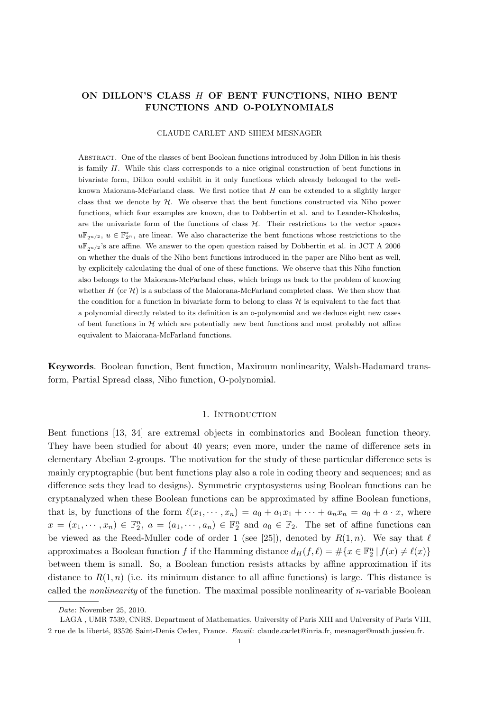# ON DILLON'S CLASS H OF BENT FUNCTIONS, NIHO BENT FUNCTIONS AND O-POLYNOMIALS

### CLAUDE CARLET AND SIHEM MESNAGER

Abstract. One of the classes of bent Boolean functions introduced by John Dillon in his thesis is family H. While this class corresponds to a nice original construction of bent functions in bivariate form, Dillon could exhibit in it only functions which already belonged to the wellknown Maiorana-McFarland class. We first notice that  $H$  can be extended to a slightly larger class that we denote by  $H$ . We observe that the bent functions constructed via Niho power functions, which four examples are known, due to Dobbertin et al. and to Leander-Kholosha, are the univariate form of the functions of class  $H$ . Their restrictions to the vector spaces  $u\mathbb{F}_{2^{n/2}}$ ,  $u \in \mathbb{F}_{2^n}^*$ , are linear. We also characterize the bent functions whose restrictions to the  $u\mathbb{F}_{2n/2}$ 's are affine. We answer to the open question raised by Dobbertin et al. in JCT A 2006 on whether the duals of the Niho bent functions introduced in the paper are Niho bent as well, by explicitely calculating the dual of one of these functions. We observe that this Niho function also belongs to the Maiorana-McFarland class, which brings us back to the problem of knowing whether  $H$  (or  $\mathcal{H}$ ) is a subclass of the Maiorana-McFarland completed class. We then show that the condition for a function in bivariate form to belong to class  $H$  is equivalent to the fact that a polynomial directly related to its definition is an o-polynomial and we deduce eight new cases of bent functions in  $H$  which are potentially new bent functions and most probably not affine equivalent to Maiorana-McFarland functions.

Keywords. Boolean function, Bent function, Maximum nonlinearity, Walsh-Hadamard transform, Partial Spread class, Niho function, O-polynomial.

## 1. Introduction

Bent functions [13, 34] are extremal objects in combinatorics and Boolean function theory. They have been studied for about 40 years; even more, under the name of difference sets in elementary Abelian 2-groups. The motivation for the study of these particular difference sets is mainly cryptographic (but bent functions play also a role in coding theory and sequences; and as difference sets they lead to designs). Symmetric cryptosystems using Boolean functions can be cryptanalyzed when these Boolean functions can be approximated by affine Boolean functions, that is, by functions of the form  $\ell(x_1, \dots, x_n) = a_0 + a_1x_1 + \dots + a_nx_n = a_0 + a \cdot x$ , where  $x = (x_1, \dots, x_n) \in \mathbb{F}_2^n$ ,  $a = (a_1, \dots, a_n) \in \mathbb{F}_2^n$  and  $a_0 \in \mathbb{F}_2$ . The set of affine functions can be viewed as the Reed-Muller code of order 1 (see [25]), denoted by  $R(1,n)$ . We say that  $\ell$ approximates a Boolean function f if the Hamming distance  $d_H(f, \ell) = #\{x \in \mathbb{F}_2^n | f(x) \neq \ell(x)\}\$ between them is small. So, a Boolean function resists attacks by affine approximation if its distance to  $R(1, n)$  (i.e. its minimum distance to all affine functions) is large. This distance is called the nonlinearity of the function. The maximal possible nonlinearity of n-variable Boolean

Date: November 25, 2010.

LAGA , UMR 7539, CNRS, Department of Mathematics, University of Paris XIII and University of Paris VIII, 2 rue de la liberté, 93526 Saint-Denis Cedex, France. Email: claude.carlet@inria.fr, mesnager@math.jussieu.fr.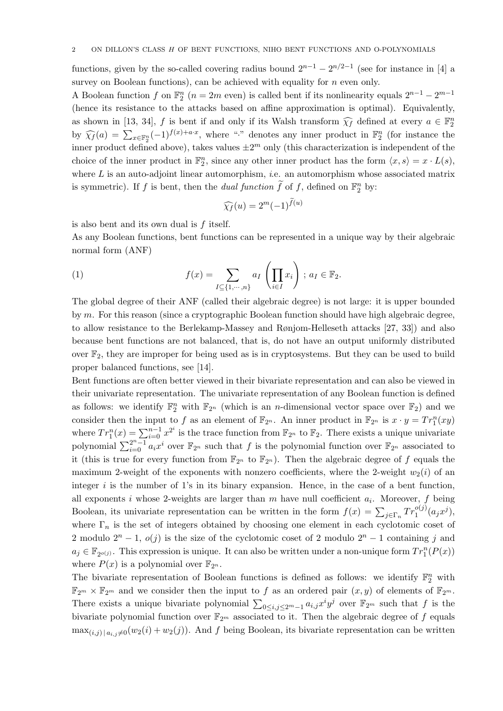functions, given by the so-called covering radius bound  $2^{n-1} - 2^{n/2-1}$  (see for instance in [4] a survey on Boolean functions), can be achieved with equality for  $n$  even only.

A Boolean function f on  $\mathbb{F}_2^n$   $(n = 2m$  even) is called bent if its nonlinearity equals  $2^{n-1} - 2^{m-1}$ (hence its resistance to the attacks based on affine approximation is optimal). Equivalently, as shown in [13, 34], f is bent if and only if its Walsh transform  $\widehat{\chi}_f$  defined at every  $a \in \mathbb{F}_2^n$ by  $\widehat{\chi}_f(a) = \sum_{x \in \mathbb{F}_2^n} (-1)^{f(x)+a \cdot x}$ , where "·" denotes any inner product in  $\mathbb{F}_2^n$  (for instance the inner product defined above), takes values  $\pm 2^m$  only (this characterization is independent of the choice of the inner product in  $\mathbb{F}_2^n$ , since any other inner product has the form  $\langle x, s \rangle = x \cdot L(s)$ , where  $L$  is an auto-adjoint linear automorphism, *i.e.* an automorphism whose associated matrix is symmetric). If f is bent, then the *dual function*  $\tilde{f}$  of f, defined on  $\mathbb{F}_2^n$  by:

$$
\widehat{\chi_f}(u) = 2^m (-1)^{f(u)}
$$

is also bent and its own dual is  $f$  itself.

As any Boolean functions, bent functions can be represented in a unique way by their algebraic normal form (ANF)

(1) 
$$
f(x) = \sum_{I \subseteq \{1, \cdots, n\}} a_I \left( \prod_{i \in I} x_i \right) ; a_I \in \mathbb{F}_2.
$$

The global degree of their ANF (called their algebraic degree) is not large: it is upper bounded by  $m$ . For this reason (since a cryptographic Boolean function should have high algebraic degree, to allow resistance to the Berlekamp-Massey and Rønjom-Helleseth attacks [27, 33]) and also because bent functions are not balanced, that is, do not have an output uniformly distributed over  $\mathbb{F}_2$ , they are improper for being used as is in cryptosystems. But they can be used to build proper balanced functions, see [14].

Bent functions are often better viewed in their bivariate representation and can also be viewed in their univariate representation. The univariate representation of any Boolean function is defined as follows: we identify  $\mathbb{F}_2^n$  with  $\mathbb{F}_{2^n}$  (which is an *n*-dimensional vector space over  $\mathbb{F}_2$ ) and we consider then the input to f as an element of  $\mathbb{F}_{2^n}$ . An inner product in  $\mathbb{F}_{2^n}$  is  $x \cdot y = Tr_1^n(xy)$ where  $Tr_1^n(x) = \sum_{i=0}^{n-1} x^{2^i}$  is the trace function from  $\mathbb{F}_{2^n}$  to  $\mathbb{F}_2$ . There exists a unique univariate polynomial  $\sum_{i=0}^{2^n-1} a_i x^i$  over  $\mathbb{F}_{2^n}$  such that f is the polynomial function over  $\mathbb{F}_{2^n}$  associated to it (this is true for every function from  $\mathbb{F}_{2^n}$  to  $\mathbb{F}_{2^n}$ ). Then the algebraic degree of f equals the maximum 2-weight of the exponents with nonzero coefficients, where the 2-weight  $w_2(i)$  of an integer  $i$  is the number of 1's in its binary expansion. Hence, in the case of a bent function, all exponents i whose 2-weights are larger than  $m$  have null coefficient  $a_i$ . Moreover,  $f$  being Boolean, its univariate representation can be written in the form  $f(x) = \sum_{j \in \Gamma_n} Tr_1^{o(j)}(a_j x^j)$ , where  $\Gamma_n$  is the set of integers obtained by choosing one element in each cyclotomic coset of 2 modulo  $2^{n} - 1$ ,  $o(j)$  is the size of the cyclotomic coset of 2 modulo  $2^{n} - 1$  containing j and  $a_j \in \mathbb{F}_{2^{o(j)}}$ . This expression is unique. It can also be written under a non-unique form  $Tr_1^n(P(x))$ where  $P(x)$  is a polynomial over  $\mathbb{F}_{2^n}$ .

The bivariate representation of Boolean functions is defined as follows: we identify  $\mathbb{F}_2^n$  with  $\mathbb{F}_{2^m} \times \mathbb{F}_{2^m}$  and we consider then the input to f as an ordered pair  $(x, y)$  of elements of  $\mathbb{F}_{2^m}$ . There exists a unique bivariate polynomial  $\sum_{0 \le i,j \le 2^m-1} a_{i,j} x^i y^j$  over  $\mathbb{F}_{2^m}$  such that f is the bivariate polynomial function over  $\mathbb{F}_{2^m}$  associated to it. Then the algebraic degree of f equals  $\max_{(i,j)|a_{i,j}\neq 0}(w_2(i) + w_2(j)).$  And f being Boolean, its bivariate representation can be written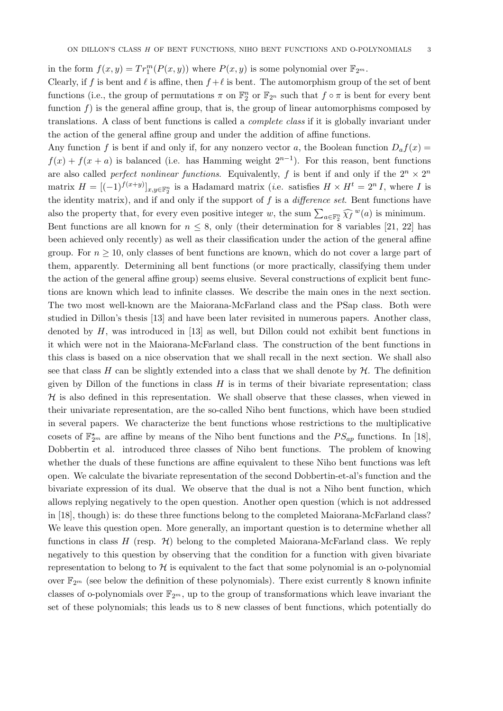in the form  $f(x, y) = Tr_1^m(P(x, y))$  where  $P(x, y)$  is some polynomial over  $\mathbb{F}_{2^m}$ .

Clearly, if f is bent and  $\ell$  is affine, then  $f + \ell$  is bent. The automorphism group of the set of bent functions (i.e., the group of permutations  $\pi$  on  $\mathbb{F}_2^n$  or  $\mathbb{F}_{2^n}$  such that  $f \circ \pi$  is bent for every bent function  $f$ ) is the general affine group, that is, the group of linear automorphisms composed by translations. A class of bent functions is called a complete class if it is globally invariant under the action of the general affine group and under the addition of affine functions.

Any function f is bent if and only if, for any nonzero vector a, the Boolean function  $D_a f(x) =$  $f(x) + f(x + a)$  is balanced (i.e. has Hamming weight  $2^{n-1}$ ). For this reason, bent functions are also called *perfect nonlinear functions*. Equivalently, f is bent if and only if the  $2^n \times 2^n$ matrix  $H = [(-1)^{f(x+y)}]_{x,y\in\mathbb{F}_2^n}$  is a Hadamard matrix (*i.e.* satisfies  $H \times H^t = 2^n I$ , where I is the identity matrix), and if and only if the support of  $f$  is a *difference set*. Bent functions have also the property that, for every even positive integer w, the sum  $\sum_{a \in \mathbb{F}_2^n} \widehat{\chi}_f^w(a)$  is minimum.

Bent functions are all known for  $n \leq 8$ , only (their determination for 8 variables [21, 22] has been achieved only recently) as well as their classification under the action of the general affine group. For  $n \geq 10$ , only classes of bent functions are known, which do not cover a large part of them, apparently. Determining all bent functions (or more practically, classifying them under the action of the general affine group) seems elusive. Several constructions of explicit bent functions are known which lead to infinite classes. We describe the main ones in the next section. The two most well-known are the Maiorana-McFarland class and the PSap class. Both were studied in Dillon's thesis [13] and have been later revisited in numerous papers. Another class, denoted by  $H$ , was introduced in [13] as well, but Dillon could not exhibit bent functions in it which were not in the Maiorana-McFarland class. The construction of the bent functions in this class is based on a nice observation that we shall recall in the next section. We shall also see that class H can be slightly extended into a class that we shall denote by  $H$ . The definition given by Dillon of the functions in class  $H$  is in terms of their bivariate representation; class  $H$  is also defined in this representation. We shall observe that these classes, when viewed in their univariate representation, are the so-called Niho bent functions, which have been studied in several papers. We characterize the bent functions whose restrictions to the multiplicative cosets of  $\mathbb{F}_{2^m}^{\star}$  are affine by means of the Niho bent functions and the  $PS_{ap}$  functions. In [18], Dobbertin et al. introduced three classes of Niho bent functions. The problem of knowing whether the duals of these functions are affine equivalent to these Niho bent functions was left open. We calculate the bivariate representation of the second Dobbertin-et-al's function and the bivariate expression of its dual. We observe that the dual is not a Niho bent function, which allows replying negatively to the open question. Another open question (which is not addressed in [18], though) is: do these three functions belong to the completed Maiorana-McFarland class? We leave this question open. More generally, an important question is to determine whether all functions in class  $H$  (resp.  $\mathcal{H}$ ) belong to the completed Maiorana-McFarland class. We reply negatively to this question by observing that the condition for a function with given bivariate representation to belong to  $H$  is equivalent to the fact that some polynomial is an o-polynomial over  $\mathbb{F}_{2m}$  (see below the definition of these polynomials). There exist currently 8 known infinite classes of o-polynomials over  $\mathbb{F}_{2^m}$ , up to the group of transformations which leave invariant the set of these polynomials; this leads us to 8 new classes of bent functions, which potentially do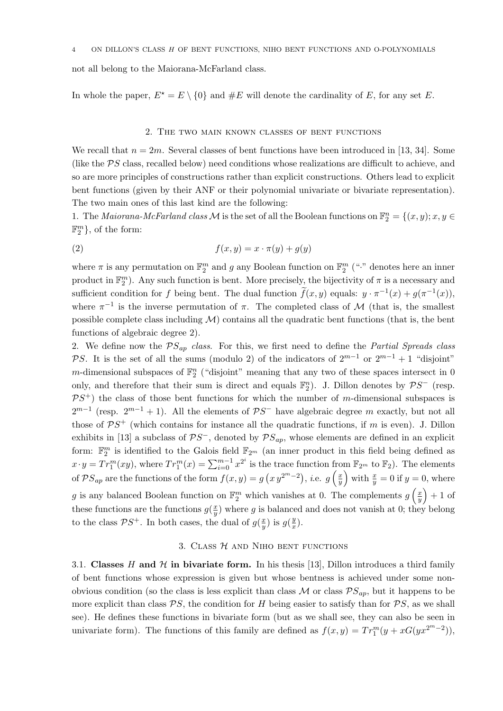not all belong to the Maiorana-McFarland class.

In whole the paper,  $E^* = E \setminus \{0\}$  and  $\#E$  will denote the cardinality of E, for any set E.

#### 2. The two main known classes of bent functions

We recall that  $n = 2m$ . Several classes of bent functions have been introduced in [13, 34]. Some (like the PS class, recalled below) need conditions whose realizations are difficult to achieve, and so are more principles of constructions rather than explicit constructions. Others lead to explicit bent functions (given by their ANF or their polynomial univariate or bivariate representation). The two main ones of this last kind are the following:

1. The *Maiorana-McFarland class*  $M$  is the set of all the Boolean functions on  $\mathbb{F}_2^n = \{(x, y); x, y \in$  $\mathbb{F}_2^m$ , of the form:

$$
(2) \t\t f(x,y) = x \cdot \pi(y) + g(y)
$$

where  $\pi$  is any permutation on  $\mathbb{F}_2^m$  and g any Boolean function on  $\mathbb{F}_2^m$  ("." denotes here an inner product in  $\mathbb{F}_2^m$ ). Any such function is bent. More precisely, the bijectivity of  $\pi$  is a necessary and sufficient condition for f being bent. The dual function  $\tilde{f}(x, y)$  equals:  $y \cdot \pi^{-1}(x) + g(\pi^{-1}(x))$ , where  $\pi^{-1}$  is the inverse permutation of  $\pi$ . The completed class of M (that is, the smallest possible complete class including  $\mathcal{M}$ ) contains all the quadratic bent functions (that is, the bent functions of algebraic degree 2).

2. We define now the  $PS_{ap}$  class. For this, we first need to define the *Partial Spreads class* PS. It is the set of all the sums (modulo 2) of the indicators of  $2^{m-1}$  or  $2^{m-1} + 1$  "disjoint" m-dimensional subspaces of  $\mathbb{F}_2^n$  ("disjoint" meaning that any two of these spaces intersect in 0 only, and therefore that their sum is direct and equals  $\mathbb{F}_2^n$ ). J. Dillon denotes by  $\mathcal{P}S^-$  (resp.  $\mathcal{P}S^+$ ) the class of those bent functions for which the number of m-dimensional subspaces is  $2^{m-1}$  (resp.  $2^{m-1}+1$ ). All the elements of  $\mathcal{P}S^-$  have algebraic degree m exactly, but not all those of  $\mathcal{P}S^+$  (which contains for instance all the quadratic functions, if m is even). J. Dillon exhibits in [13] a subclass of  $\mathcal{P}S^{-}$ , denoted by  $\mathcal{P}S_{ap}$ , whose elements are defined in an explicit form:  $\mathbb{F}_2^m$  is identified to the Galois field  $\mathbb{F}_{2^m}$  (an inner product in this field being defined as  $x \cdot y = Tr_1^m(xy)$ , where  $Tr_1^m(x) = \sum_{i=0}^{m-1} x^{2^i}$  is the trace function from  $\mathbb{F}_{2^m}$  to  $\mathbb{F}_2$ ). The elements of  $\mathcal{P}S_{ap}$  are the functions of the form  $f(x,y) = g(x,y^{2^m-2})$ , *i.e.*  $g\left(\frac{x}{y}\right)$  $(\frac{x}{y})$  with  $\frac{x}{y} = 0$  if  $y = 0$ , where g is any balanced Boolean function on  $\mathbb{F}_2^m$  which vanishes at 0. The complements  $g\left(\frac{x}{y}\right)$  $\left(\frac{x}{y}\right) + 1$  of these functions are the functions  $g(\frac{x}{y})$  $\frac{x}{y}$ ) where g is balanced and does not vanish at 0; they belong to the class  $\mathcal{P}S^+$ . In both cases, the dual of  $g(\frac{x}{y})$  $\frac{x}{y}$ ) is  $g(\frac{y}{x})$  $\frac{y}{x}$ .

### 3. CLASS  $H$  and Niho bent functions

3.1. Classes H and  $H$  in bivariate form. In his thesis [13], Dillon introduces a third family of bent functions whose expression is given but whose bentness is achieved under some nonobvious condition (so the class is less explicit than class  $\mathcal{M}$  or class  $\mathcal{P}S_{ap}$ , but it happens to be more explicit than class  $PS$ , the condition for H being easier to satisfy than for  $PS$ , as we shall see). He defines these functions in bivariate form (but as we shall see, they can also be seen in univariate form). The functions of this family are defined as  $f(x, y) = Tr_1^m(y + xG(yx^{2^m-2}))$ ,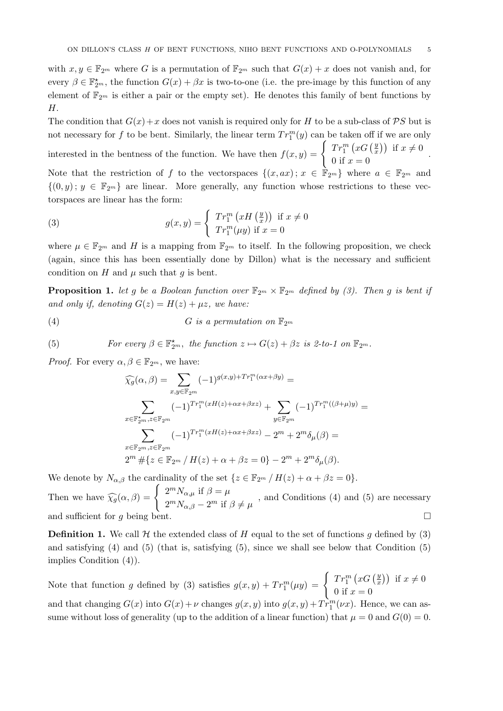with  $x, y \in \mathbb{F}_{2^m}$  where G is a permutation of  $\mathbb{F}_{2^m}$  such that  $G(x) + x$  does not vanish and, for every  $\beta \in \mathbb{F}_{2^m}^*$ , the function  $G(x) + \beta x$  is two-to-one (i.e. the pre-image by this function of any element of  $\mathbb{F}_{2^m}$  is either a pair or the empty set). He denotes this family of bent functions by H.

The condition that  $G(x)+x$  does not vanish is required only for H to be a sub-class of PS but is not necessary for f to be bent. Similarly, the linear term  $Tr_1^m(y)$  can be taken off if we are only

interested in the bentness of the function. We have then  $f(x, y) = \begin{cases} Tr_1^m (xG) \frac{y}{x} \end{cases}$  $\left(\frac{y}{x}\right)$  if  $x \neq 0$ 0 if  $x = 0$ . Note that the restriction of f to the vectorspaces  $\{(x, ax): x \in \mathbb{F}_{2^m}\}$  where  $a \in \mathbb{F}_{2^m}$  and  $\{(0, y); y \in \mathbb{F}_{2^m}\}\$ are linear. More generally, any function whose restrictions to these vectorspaces are linear has the form:

(3) 
$$
g(x,y) = \begin{cases} Tr_1^m (xH(\frac{y}{x})) & \text{if } x \neq 0 \\ Tr_1^m(\mu y) & \text{if } x = 0 \end{cases}
$$

where  $\mu \in \mathbb{F}_{2^m}$  and H is a mapping from  $\mathbb{F}_{2^m}$  to itself. In the following proposition, we check (again, since this has been essentially done by Dillon) what is the necessary and sufficient condition on H and  $\mu$  such that q is bent.

**Proposition 1.** let g be a Boolean function over  $\mathbb{F}_{2^m} \times \mathbb{F}_{2^m}$  defined by (3). Then g is bent if and only if, denoting  $G(z) = H(z) + \mu z$ , we have:

(4) 
$$
G \text{ is a permutation on } \mathbb{F}_{2^m}
$$

(5) For every 
$$
\beta \in \mathbb{F}_{2^m}^*
$$
, the function  $z \mapsto G(z) + \beta z$  is 2-to-1 on  $\mathbb{F}_{2^m}$ .

*Proof.* For every  $\alpha, \beta \in \mathbb{F}_{2^m}$ , we have:

$$
\widehat{\chi_g}(\alpha,\beta) = \sum_{x,y \in \mathbb{F}_{2^m}} (-1)^{g(x,y) + Tr_1^m(\alpha x + \beta y)} =
$$
\n
$$
\sum_{x \in \mathbb{F}_{2^m}^{\star}, z \in \mathbb{F}_{2^m}} (-1)^{Tr_1^m(xH(z) + \alpha x + \beta xz)} + \sum_{y \in \mathbb{F}_{2^m}} (-1)^{Tr_1^m((\beta + \mu)y)} =
$$
\n
$$
\sum_{x \in \mathbb{F}_{2^m}, z \in \mathbb{F}_{2^m}} (-1)^{Tr_1^m(xH(z) + \alpha x + \beta xz)} - 2^m + 2^m \delta_\mu(\beta) =
$$
\n
$$
2^m \# \{ z \in \mathbb{F}_{2^m} / H(z) + \alpha + \beta z = 0 \} - 2^m + 2^m \delta_\mu(\beta).
$$

We denote by  $N_{\alpha,\beta}$  the cardinality of the set  $\{z \in \mathbb{F}_{2^m} / H(z) + \alpha + \beta z = 0\}.$ 

Then we have  $\widehat{\chi}_g(\alpha, \beta) = \begin{cases} 2^m N_{\alpha,\mu} & \text{if } \beta = \mu \\ 2^m N_{\alpha,\beta} - 2^m & \text{if } \beta = 1 \end{cases}$  $2^m N_{\alpha,\beta} - 2^m$  if  $\beta \neq \mu$ , and Conditions (4) and (5) are necessary and sufficient for g being bent.

**Definition 1.** We call  $H$  the extended class of H equal to the set of functions g defined by (3) and satisfying  $(4)$  and  $(5)$  (that is, satisfying  $(5)$ , since we shall see below that Condition  $(5)$ ) implies Condition (4)).

Note that function g defined by (3) satisfies  $g(x,y) + Tr_1^m(\mu y) = \begin{cases} Tr_1^m(xG(\frac{y}{x}))^m, & \text{if } x = 0, \\ 0, & \text{if } x = 0. \end{cases}$  $\left(\frac{y}{x}\right)$  if  $x \neq 0$ 0 if  $x = 0$ 

and that changing  $G(x)$  into  $G(x) + \nu$  changes  $g(x, y)$  into  $g(x, y) + Tr_1^m(\nu x)$ . Hence, we can assume without loss of generality (up to the addition of a linear function) that  $\mu = 0$  and  $G(0) = 0$ .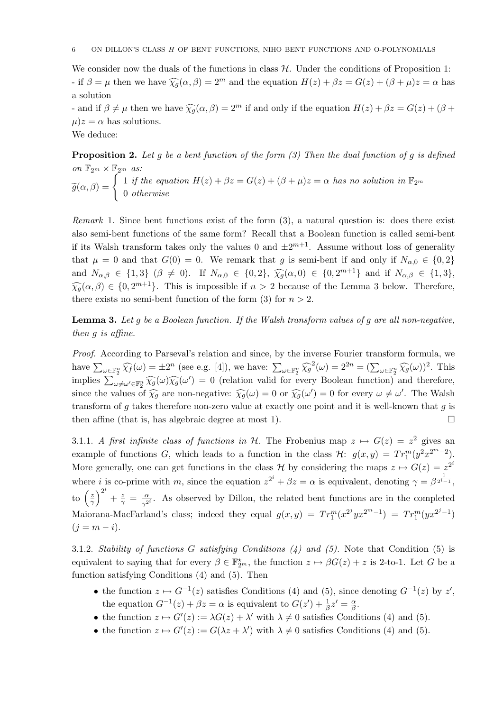We consider now the duals of the functions in class  $H$ . Under the conditions of Proposition 1: - if  $\beta = \mu$  then we have  $\widehat{\chi_q}(\alpha, \beta) = 2^m$  and the equation  $H(z) + \beta z = G(z) + (\beta + \mu)z = \alpha$  has a solution

- and if  $\beta \neq \mu$  then we have  $\widehat{\chi}_g(\alpha, \beta) = 2^m$  if and only if the equation  $H(z) + \beta z = G(z) + (\beta + \beta)z$  $\mu$ ) $z = \alpha$  has solutions.

We deduce:

**Proposition 2.** Let g be a bent function of the form (3) Then the dual function of g is defined on  $\mathbb{F}_{2^m}\times\mathbb{F}_{2^m}$  as:  $\widetilde{g}(\alpha,\beta) = \begin{cases} 1 \text{ if the equation } H(z) + \beta z = G(z) + (\beta + \mu)z = \alpha \text{ has no solution in } \mathbb{F}_{2^m} \\ 0 \text{ otherwise} \end{cases}$ 0 otherwise

Remark 1. Since bent functions exist of the form  $(3)$ , a natural question is: does there exist also semi-bent functions of the same form? Recall that a Boolean function is called semi-bent if its Walsh transform takes only the values 0 and  $\pm 2^{m+1}$ . Assume without loss of generality that  $\mu = 0$  and that  $G(0) = 0$ . We remark that g is semi-bent if and only if  $N_{\alpha,0} \in \{0,2\}$ and  $N_{\alpha,\beta} \in \{1,3\}$   $(\beta \neq 0)$ . If  $N_{\alpha,0} \in \{0,2\}$ ,  $\widehat{\chi}_g(\alpha,0) \in \{0,2^{m+1}\}$  and if  $N_{\alpha,\beta} \in \{1,3\}$ ,  $\widehat{\chi}_g(\alpha,\beta) \in \{0,2^{m+1}\}\.$  This is impossible if  $n > 2$  because of the Lemma 3 below. Therefore, there exists no semi-bent function of the form (3) for  $n > 2$ .

**Lemma 3.** Let q be a Boolean function. If the Walsh transform values of q are all non-negative, then g is affine.

Proof. According to Parseval's relation and since, by the inverse Fourier transform formula, we have  $\sum_{\omega \in \mathbb{F}_2^n} \widehat{\chi_f}(\omega) = \pm 2^n$  (see e.g. [4]), we have:  $\sum_{\omega \in \mathbb{F}_2^n} \widehat{\chi_g}^2(\omega) = 2^{2n} = (\sum_{\omega \in \mathbb{F}_2^n} \widehat{\chi_g}(\omega))^2$ . This implies  $\sum_{\omega \neq \omega' \in \mathbb{F}_2^n} \widehat{\chi_g}(\omega) \widehat{\chi_g}(\omega') = 0$  (relation valid for every Boolean function) and therefore, since the values of  $\widehat{\chi}_g$  are non-negative:  $\widehat{\chi}_g(\omega) = 0$  or  $\widehat{\chi}_g(\omega') = 0$  for every  $\omega \neq \omega'$ . The Walsh transform of g takes therefore non-zero value at exactly one point and it is well-known that g is then affine (that is, has algebraic degree at most 1).  $\Box$ 

3.1.1. A first infinite class of functions in H. The Frobenius map  $z \mapsto G(z) = z^2$  gives an example of functions G, which leads to a function in the class  $\mathcal{H}$ :  $g(x,y) = Tr_1^m(y^2 x^{2^m-2})$ . More generally, one can get functions in the class H by considering the maps  $z \mapsto G(z) = z^{2i}$ where *i* is co-prime with m, since the equation  $z^{2^i} + \beta z = \alpha$  is equivalent, denoting  $\gamma = \beta^{\frac{1}{2^i-1}}$ , to  $\left(\frac{z}{\gamma}\right)$  $\left(\frac{z}{\gamma}\right)^{2^i}$  $+\frac{z}{\gamma}=\frac{\alpha}{\gamma^2}$  $\frac{\alpha}{\gamma^{2i}}$ . As observed by Dillon, the related bent functions are in the completed Maiorana-MacFarland's class; indeed they equal  $g(x, y) = Tr_1^m(x^{2^j} y x^{2^m-1}) = Tr_1^m(y x^{2^j-1})$  $(j = m - i).$ 

3.1.2. Stability of functions G satisfying Conditions  $(4)$  and  $(5)$ . Note that Condition  $(5)$  is equivalent to saying that for every  $\beta \in \mathbb{F}_{2^m}^*$ , the function  $z \mapsto \beta G(z) + z$  is 2-to-1. Let G be a function satisfying Conditions (4) and (5). Then

- the function  $z \mapsto G^{-1}(z)$  satisfies Conditions (4) and (5), since denoting  $G^{-1}(z)$  by  $z'$ , the equation  $G^{-1}(z) + \beta z = \alpha$  is equivalent to  $G(z') + \frac{1}{\beta}z' = \frac{\alpha}{\beta}$  $\frac{\alpha}{\beta}$ .
- the function  $z \mapsto G'(z) := \lambda G(z) + \lambda'$  with  $\lambda \neq 0$  satisfies Conditions (4) and (5).
- the function  $z \mapsto G'(z) := G(\lambda z + \lambda')$  with  $\lambda \neq 0$  satisfies Conditions (4) and (5).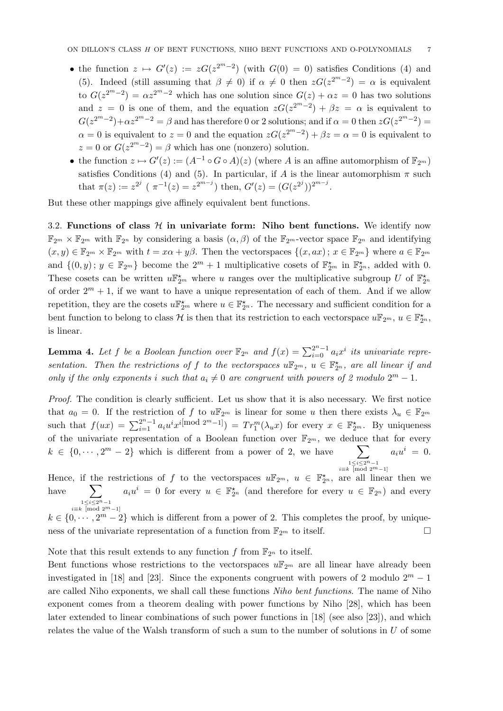- the function  $z \mapsto G'(z) := zG(z^{2^m-2})$  (with  $G(0) = 0$ ) satisfies Conditions (4) and (5). Indeed (still assuming that  $\beta \neq 0$ ) if  $\alpha \neq 0$  then  $zG(z^{2^m-2}) = \alpha$  is equivalent to  $G(z^{2^m-2}) = \alpha z^{2^m-2}$  which has one solution since  $G(z) + \alpha z = 0$  has two solutions and  $z = 0$  is one of them, and the equation  $zG(z^{2m-2}) + \beta z = \alpha$  is equivalent to  $G(z^{2^m-2})+\alpha z^{2^m-2}=\beta$  and has therefore 0 or 2 solutions; and if  $\alpha=0$  then  $zG(z^{2^m-2})=$  $\alpha = 0$  is equivalent to  $z = 0$  and the equation  $zG(z^{2^m-2}) + \beta z = \alpha = 0$  is equivalent to  $z = 0$  or  $G(z^{2^m-2}) = \beta$  which has one (nonzero) solution.
- the function  $z \mapsto G'(z) := (A^{-1} \circ G \circ A)(z)$  (where A is an affine automorphism of  $\mathbb{F}_{2^m}$ ) satisfies Conditions (4) and (5). In particular, if A is the linear automorphism  $\pi$  such that  $\pi(z) := z^{2^j}$  ( $\pi^{-1}(z) = z^{2^{m-j}}$ ) then,  $G'(z) = (G(z^{2^j}))^{2^{m-j}}$ .

But these other mappings give affinely equivalent bent functions.

3.2. Functions of class  $H$  in univariate form: Niho bent functions. We identify now  $\mathbb{F}_{2^m} \times \mathbb{F}_{2^m}$  with  $\mathbb{F}_{2^n}$  by considering a basis  $(\alpha, \beta)$  of the  $\mathbb{F}_{2^m}$ -vector space  $\mathbb{F}_{2^n}$  and identifying  $(x, y) \in \mathbb{F}_{2^m} \times \mathbb{F}_{2^m}$  with  $t = x\alpha + y\beta$ . Then the vectorspaces  $\{(x, ax): x \in \mathbb{F}_{2^m}\}$  where  $a \in \mathbb{F}_{2^m}$ and  $\{(0, y); y \in \mathbb{F}_{2^m}\}\)$  become the  $2^m + 1$  multiplicative cosets of  $\mathbb{F}_{2^m}^{\star}$  in  $\mathbb{F}_{2^n}^{\star}$ , added with 0. These cosets can be written  $u\mathbb{F}_{2^m}^{\star}$  where u ranges over the multiplicative subgroup U of  $\mathbb{F}_{2^n}^{\star}$ of order  $2^m + 1$ , if we want to have a unique representation of each of them. And if we allow repetition, they are the cosets  $u \mathbb{F}_{2^m}^{\star}$  where  $u \in \mathbb{F}_{2^n}^{\star}$ . The necessary and sufficient condition for a bent function to belong to class H is then that its restriction to each vectorspace  $u\mathbb{F}_{2^m}$ ,  $u \in \mathbb{F}_{2^n}^{\star}$ , is linear.

**Lemma 4.** Let f be a Boolean function over  $\mathbb{F}_{2^n}$  and  $f(x) = \sum_{i=0}^{2^n-1} a_i x^i$  its univariate representation. Then the restrictions of f to the vectorspaces  $u\mathbb{F}_{2^m}$ ,  $u \in \mathbb{F}_{2^n}^{\star}$ , are all linear if and only if the only exponents i such that  $a_i \neq 0$  are congruent with powers of 2 modulo  $2^m - 1$ .

Proof. The condition is clearly sufficient. Let us show that it is also necessary. We first notice that  $a_0 = 0$ . If the restriction of f to  $u \mathbb{F}_{2^m}$  is linear for some u then there exists  $\lambda_u \in \mathbb{F}_{2^m}$ such that  $f(ux) = \sum_{i=1}^{2^n-1} a_i u^i x^{i \text{mod } 2^m-1}$  =  $Tr_1^m(\lambda_u x)$  for every  $x \in \mathbb{F}_{2^m}^{\star}$ . By uniqueness of the univariate representation of a Boolean function over  $\mathbb{F}_{2^m}$ , we deduce that for every  $k \in \{0, \dots, 2^m-2\}$  which is different from a power of 2, we have  $\sum_{i\equiv k}^{1\leq i\leq 2^n-1}$ <br> $\equiv$  [mod 2<sup>m</sup>−1]  $a_i u^i = 0.$ 

Hence, if the restrictions of f to the vectorspaces  $u\mathbb{F}_{2^m}$ ,  $u \in \mathbb{F}_{2^n}^*$ , are all linear then we have  $\sum a_i u^i = 0$  for every  $u \in \mathbb{F}_{2^n}^{\star}$  (and therefore for every  $u \in \mathbb{F}_{2^n}$ ) and every  $\sum_{i\equiv k}$  [mod 2<sup>m</sup>−1]

 $k \in \{0, \dots, 2^m-2\}$  which is different from a power of 2. This completes the proof, by uniqueness of the univariate representation of a function from  $\mathbb{F}_{2^m}$  to itself.

Note that this result extends to any function f from  $\mathbb{F}_{2^n}$  to itself.

Bent functions whose restrictions to the vectorspaces  $u\mathbb{F}_{2^m}$  are all linear have already been investigated in [18] and [23]. Since the exponents congruent with powers of 2 modulo  $2^m - 1$ are called Niho exponents, we shall call these functions Niho bent functions. The name of Niho exponent comes from a theorem dealing with power functions by Niho [28], which has been later extended to linear combinations of such power functions in [18] (see also [23]), and which relates the value of the Walsh transform of such a sum to the number of solutions in  $U$  of some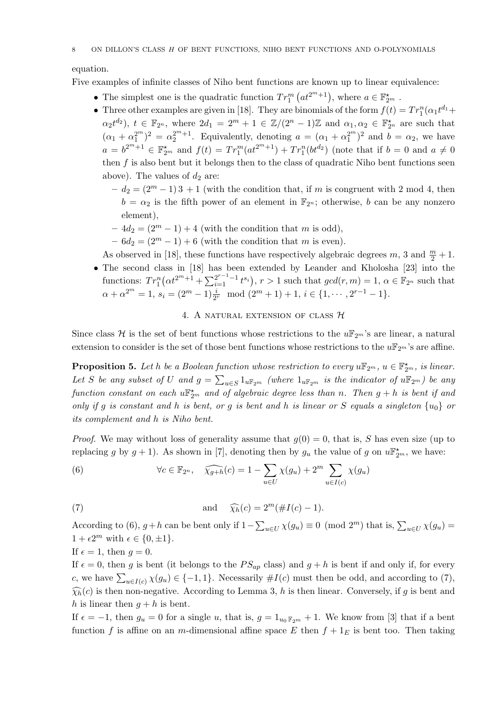equation.

Five examples of infinite classes of Niho bent functions are known up to linear equivalence:

- The simplest one is the quadratic function  $Tr_1^m (at^{2^m+1})$ , where  $a \in \mathbb{F}_{2^m}^*$ .
- Three other examples are given in [18]. They are binomials of the form  $f(t) = Tr_1^n(\alpha_1 t^{d_1} +$  $\alpha_2 t^{d_2}$ ),  $t \in \mathbb{F}_{2^n}$ , where  $2d_1 = 2^m + 1 \in \mathbb{Z}/(2^n - 1)\mathbb{Z}$  and  $\alpha_1, \alpha_2 \in \mathbb{F}_{2^n}^{\star}$  are such that  $(\alpha_1 + \alpha_1^{2^m})^2 = \alpha_2^{2^m+1}$ . Equivalently, denoting  $a = (\alpha_1 + \alpha_1^{2^m})^2$  and  $b = \alpha_2$ , we have  $a = b^{2^m+1} \in \mathbb{F}_{2^m}^{\star}$  and  $f(t) = Tr_1^m(at^{2^m+1}) + Tr_1^n(bt^{d_2})$  (note that if  $b = 0$  and  $a \neq 0$ then  $f$  is also bent but it belongs then to the class of quadratic Niho bent functions seen above). The values of  $d_2$  are:
	- $-d_2 = (2^m 1)3 + 1$  (with the condition that, if m is congruent with 2 mod 4, then  $b = \alpha_2$  is the fifth power of an element in  $\mathbb{F}_{2^n}$ ; otherwise, b can be any nonzero element),
	- $-4d_2 = (2^m 1) + 4$  (with the condition that m is odd),
	- $-6d_2 = (2^m 1) + 6$  (with the condition that m is even).

As observed in [18], these functions have respectively algebraic degrees  $m$ , 3 and  $\frac{m}{2} + 1$ .

• The second class in [18] has been extended by Leander and Kholosha [23] into the functions:  $Tr_1^n(\alpha t^{2^m+1} + \sum_{i=1}^{2^{r-1}-1} t^{s_i}), r > 1$  such that  $gcd(r, m) = 1, \alpha \in \mathbb{F}_{2^n}$  such that  $\alpha + \alpha^{2^m} = 1, s_i = (2^m - 1) \frac{i}{2^r} \mod (2^m + 1) + 1, i \in \{1, \cdots, 2^{r-1} - 1\}.$ 

# 4. A NATURAL EXTENSION OF CLASS  $H$

Since class H is the set of bent functions whose restrictions to the  $u\mathbb{F}_{2^m}$ 's are linear, a natural extension to consider is the set of those bent functions whose restrictions to the  $u\mathbb{F}_{2^m}$ 's are affine.

**Proposition 5.** Let h be a Boolean function whose restriction to every  $u\mathbb{F}_{2^m}$ ,  $u \in \mathbb{F}_{2^m}^*$ , is linear. Let S be any subset of U and  $g = \sum_{u \in S} 1_{u \mathbb{F}_{2^m}}$  (where  $1_{u \mathbb{F}_{2^m}}$  is the indicator of  $u \mathbb{F}_{2^m}$ ) be any function constant on each  $u\mathbb{F}_{2^m}^{\star}$  and of algebraic degree less than n. Then  $g+h$  is bent if and only if g is constant and h is bent, or g is bent and h is linear or S equals a singleton  $\{u_0\}$  or its complement and h is Niho bent.

*Proof.* We may without loss of generality assume that  $q(0) = 0$ , that is, S has even size (up to replacing g by  $g + 1$ ). As shown in [7], denoting then by  $g_u$  the value of g on  $u \mathbb{F}_{2^m}^{\star}$ , we have:

(6) 
$$
\forall c \in \mathbb{F}_{2^n}, \quad \widehat{\chi_{g+h}}(c) = 1 - \sum_{u \in U} \chi(g_u) + 2^m \sum_{u \in I(c)} \chi(g_u)
$$

(7) and 
$$
\widehat{\chi}_h(c) = 2^m(\#I(c) - 1).
$$

According to (6),  $g + h$  can be bent only if  $1 - \sum_{u \in U} \chi(g_u) \equiv 0 \pmod{2^m}$  that is,  $\sum_{u \in U} \chi(g_u) =$  $1 + \epsilon 2^m$  with  $\epsilon \in \{0, \pm 1\}.$ 

If  $\epsilon = 1$ , then  $q = 0$ .

If  $\epsilon = 0$ , then g is bent (it belongs to the  $PS_{ap}$  class) and  $g + h$  is bent if and only if, for every c, we have  $\sum_{u \in I(c)} \chi(g_u) \in \{-1, 1\}$ . Necessarily  $\#I(c)$  must then be odd, and according to (7),  $\widehat{\chi}_h(c)$  is then non-negative. According to Lemma 3, h is then linear. Conversely, if g is bent and h is linear then  $g + h$  is bent.

If  $\epsilon = -1$ , then  $g_u = 0$  for a single u, that is,  $g = 1_{u_0 \mathbb{F}_{2m}} + 1$ . We know from [3] that if a bent function f is affine on an m-dimensional affine space E then  $f + 1<sub>E</sub>$  is bent too. Then taking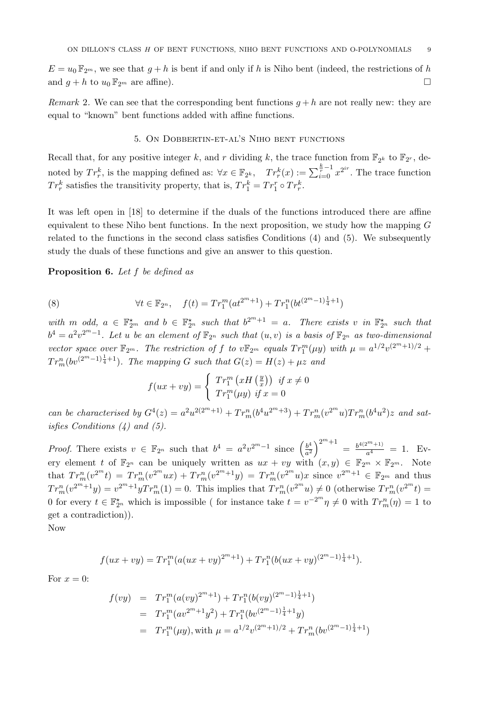$E = u_0 \mathbb{F}_{2^m}$ , we see that  $g + h$  is bent if and only if h is Niho bent (indeed, the restrictions of h and  $g + h$  to  $u_0 \mathbb{F}_{2^m}$  are affine).

Remark 2. We can see that the corresponding bent functions  $q + h$  are not really new: they are equal to "known" bent functions added with affine functions.

#### 5. On Dobbertin-et-al's Niho bent functions

Recall that, for any positive integer k, and r dividing k, the trace function from  $\mathbb{F}_{2^k}$  to  $\mathbb{F}_{2^r}$ , denoted by  $Tr_r^k$ , is the mapping defined as:  $\forall x \in \mathbb{F}_{2^k}$ ,  $Tr_r^k(x) := \sum_{i=0}^{\frac{k}{r}-1} x^{2^{ir}}$ . The trace function  $Tr_r^k$  satisfies the transitivity property, that is,  $Tr_1^k = Tr_1^r \circ Tr_r^k$ .

It was left open in [18] to determine if the duals of the functions introduced there are affine equivalent to these Niho bent functions. In the next proposition, we study how the mapping  $G$ related to the functions in the second class satisfies Conditions (4) and (5). We subsequently study the duals of these functions and give an answer to this question.

Proposition 6. Let f be defined as

(8) 
$$
\forall t \in \mathbb{F}_{2^n}, \quad f(t) = Tr_1^m(at^{2^{m+1}}) + Tr_1^n(bt^{2^{m}-1)\frac{1}{4}+1})
$$

with m odd,  $a \in \mathbb{F}_{2^m}^{\star}$  and  $b \in \mathbb{F}_{2^n}^{\star}$  such that  $b^{2^m+1} = a$ . There exists v in  $\mathbb{F}_{2^n}^{\star}$  such that  $b^4 = a^2v^{2^m-1}$ . Let u be an element of  $\mathbb{F}_{2^n}$  such that  $(u, v)$  is a basis of  $\mathbb{F}_{2^n}$  as two-dimensional vector space over  $\mathbb{F}_{2^m}$ . The restriction of f to  $v\mathbb{F}_{2^m}$  equals  $Tr_1^m(\mu y)$  with  $\mu = a^{1/2}v^{(2^m+1)/2}$  +  $Tr_m^n (bv^{(2^m-1)\frac{1}{4}+1})$ . The mapping G such that  $G(z) = H(z) + \mu z$  and

$$
f(ux+vy) = \begin{cases} Tr_1^m (xH(\frac{y}{x})) & \text{if } x \neq 0 \\ Tr_1^m(\mu y) & \text{if } x = 0 \end{cases}
$$

can be characterised by  $G^4(z) = a^2u^{2(2^m+1)} + Tr_m^n(b^4u^{2^m+3}) + Tr_m^n(v^{2^m}u)Tr_m^n(b^4u^2)z$  and satisfies Conditions (4) and (5).

*Proof.* There exists  $v \in \mathbb{F}_{2^n}$  such that  $b^4 = a^2v^{2^m-1}$  since  $\left(\frac{b^4}{a^2}\right)$  $\frac{b^4}{a^2}\Big)^{2^m+1} = \frac{b^{4(2^m+1)}}{a^4}$  $\frac{a^{4}}{a^{4}} = 1$ . Every element t of  $\mathbb{F}_{2^n}$  can be uniquely written as  $ux + vy$  with  $(x, y) \in \mathbb{F}_{2^m} \times \mathbb{F}_{2^m}$ . Note that  $Tr_m^n(v^{2^m}t) = Tr_m^n(v^{2^m}ux) + Tr_m^n(v^{2^m+1}y) = Tr_m^n(v^{2^m}u)x$  since  $v^{2^m+1} \in \mathbb{F}_{2^m}$  and thus  $Tr_m^n(v^{2^m+1}y) = v^{2^m+1}yTr_m^n(1) = 0.$  This implies that  $Tr_m^n(v^{2^m}u) \neq 0$  (otherwise  $Tr_m^n(v^{2^m}t) =$ 0 for every  $t \in \mathbb{F}_{2^n}^{\star}$  which is impossible (for instance take  $t = v^{-2^m} \eta \neq 0$  with  $Tr_m^n(\eta) = 1$  to get a contradiction)).

Now

$$
f(ux+vy) = Tr_1^m(a(ux+vy)^{2^m+1}) + Tr_1^n(b(ux+vy)^{(2^m-1)\frac{1}{4}+1}).
$$

For  $x=0$ :

$$
f(vy) = Tr_1^m(a(vy)^{2^m+1}) + Tr_1^n(b(vy)^{(2^m-1)\frac{1}{4}+1})
$$
  
=  $Tr_1^m(av^{2^m+1}y^2) + Tr_1^n(bv^{(2^m-1)\frac{1}{4}+1}y)$   
=  $Tr_1^m(\mu y)$ , with  $\mu = a^{1/2}v^{(2^m+1)/2} + Tr_m^n(bv^{(2^m-1)\frac{1}{4}+1})$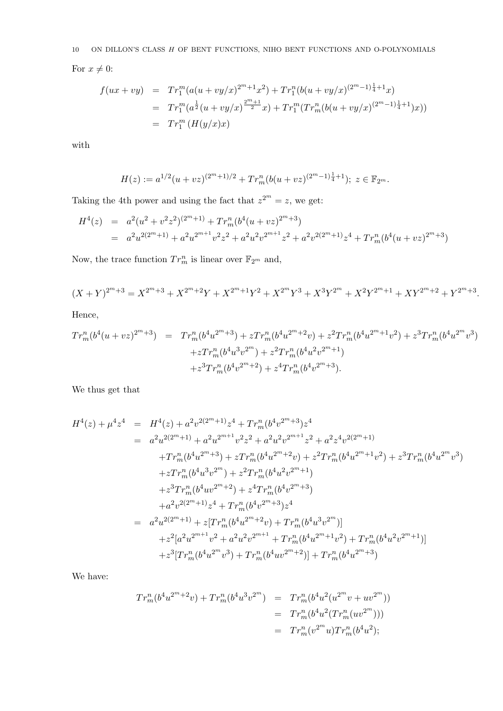$10$  ON DILLON'S CLASS  $H$  OF BENT FUNCTIONS, NIHO BENT FUNCTIONS AND O-POLYNOMIALS

For  $x \neq 0$ :

$$
f(ux+vy) = Tr_1^m(a(u+vy/x)^{2m+1}x^2) + Tr_1^n(b(u+vy/x)^{(2m-1)\frac{1}{4}+1}x)
$$
  
=  $Tr_1^m(a^{\frac{1}{2}}(u+vy/x)^{\frac{2m+1}{2}}x) + Tr_1^m(Tr_m^n(b(u+vy/x)^{(2m-1)\frac{1}{4}+1})x))$   
=  $Tr_1^m(H(y/x)x)$ 

with

$$
H(z) := a^{1/2} (u + vz)^{(2^m + 1)/2} + Tr_m^n (b(u + vz)^{(2^m - 1)\frac{1}{4} + 1}); \ z \in \mathbb{F}_{2^m}.
$$

Taking the 4th power and using the fact that  $z^{2^m} = z$ , we get:

$$
H^{4}(z) = a^{2}(u^{2} + v^{2}z^{2})^{(2^{m}+1)} + Tr_{m}^{n}(b^{4}(u + vz)^{2^{m}+3})
$$
  
=  $a^{2}u^{2(2^{m}+1)} + a^{2}u^{2^{m+1}}v^{2}z^{2} + a^{2}u^{2}v^{2^{m+1}}z^{2} + a^{2}v^{2(2^{m}+1)}z^{4} + Tr_{m}^{n}(b^{4}(u + vz)^{2^{m}+3})$ 

Now, the trace function  $Tr_m^n$  is linear over  $\mathbb{F}_{2^m}$  and,

$$
(X + Y)^{2^m + 3} = X^{2^m + 3} + X^{2^m + 2}Y + X^{2^m + 1}Y^2 + X^{2^m}Y^3 + X^3Y^{2^m} + X^2Y^{2^m + 1} + XY^{2^m + 2} + Y^{2^m + 3}.
$$

Hence,

$$
Tr_m^n(b^4(u+uz)^{2^m+3}) = Tr_m^n(b^4u^{2^m+3}) + zTr_m^n(b^4u^{2^m+2}v) + z^2Tr_m^n(b^4u^{2^m+1}v^2) + z^3Tr_m^n(b^4u^{2^m}v^3) + zTr_m^n(b^4u^3v^{2^m}) + z^2Tr_m^n(b^4u^2v^{2^m+1}) + z^3Tr_m^n(b^4v^{2^m+2}) + z^4Tr_m^n(b^4v^{2^m+3}).
$$

We thus get that

$$
H^{4}(z) + \mu^{4}z^{4} = H^{4}(z) + a^{2}v^{2(2^{m}+1)}z^{4} + Tr_{m}^{n}(b^{4}v^{2^{m}+3})z^{4}
$$
  
\n
$$
= a^{2}u^{2(2^{m}+1)} + a^{2}u^{2^{m+1}}v^{2}z^{2} + a^{2}u^{2}v^{2^{m+1}}z^{2} + a^{2}z^{4}v^{2(2^{m}+1)}
$$
  
\n
$$
+ Tr_{m}^{n}(b^{4}u^{2^{m}+3}) + zTr_{m}^{n}(b^{4}u^{2^{m}+2}v) + z^{2}Tr_{m}^{n}(b^{4}u^{2^{m}+1}v^{2}) + z^{3}Tr_{m}^{n}(b^{4}u^{2^{m}}v^{3})
$$
  
\n
$$
+ zTr_{m}^{n}(b^{4}u^{3}v^{2^{m}}) + z^{2}Tr_{m}^{n}(b^{4}u^{2}v^{2^{m}+1})
$$
  
\n
$$
+ z^{3}Tr_{m}^{n}(b^{4}uv^{2^{m}+2}) + z^{4}Tr_{m}^{n}(b^{4}v^{2^{m}+3})
$$
  
\n
$$
+ a^{2}v^{2(2^{m}+1)}z^{4} + Tr_{m}^{n}(b^{4}v^{2^{m}+3})z^{4}
$$
  
\n
$$
= a^{2}u^{2(2^{m}+1)} + z[Tr_{m}^{n}(b^{4}u^{2^{m}+2}v) + Tr_{m}^{n}(b^{4}u^{3}v^{2^{m}})]
$$
  
\n
$$
+ z^{2}[a^{2}u^{2^{m+1}}v^{2} + a^{2}u^{2}v^{2^{m+1}} + Tr_{m}^{n}(b^{4}u^{2^{m}+1}v^{2}) + Tr_{m}^{n}(b^{4}u^{2}v^{2^{m}+1})]
$$
  
\n
$$
+ z^{3}[Tr_{m}^{n}(b^{4}u^{2^{m}}v^{3}) + Tr_{m}^{n}(b^{4}uv^{2^{m}+2})] + Tr_{m}^{n}(b^{4}u^{2^{m}+3})
$$

We have:

$$
Tr_m^n(b^4u^{2^m+2}v) + Tr_m^n(b^4u^3v^{2^m}) = Tr_m^n(b^4u^2(u^{2^m}v + uv^{2^m}))
$$
  
=  $Tr_m^n(b^4u^2(Tr_m^n(uv^{2^m})))$   
=  $Tr_m^n(v^{2^m}u)Tr_m^n(b^4u^2);$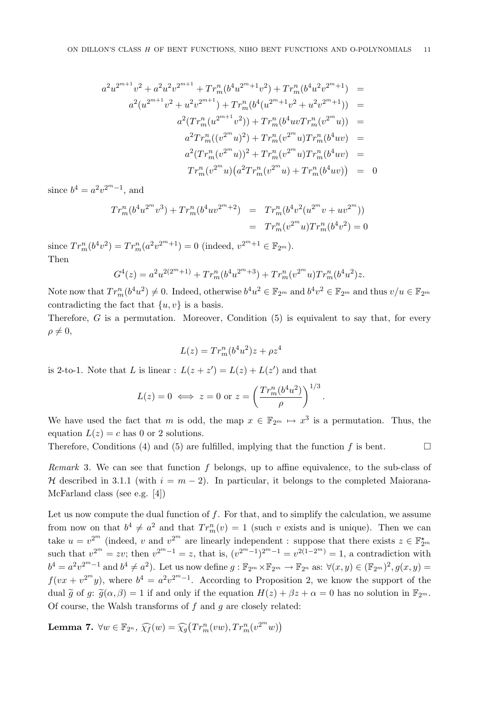$$
a^{2}u^{2^{m+1}}v^{2} + a^{2}u^{2}v^{2^{m+1}} + Tr_{m}^{n}(b^{4}u^{2^{m}+1}v^{2}) + Tr_{m}^{n}(b^{4}u^{2}v^{2^{m}+1}) =
$$
  
\n
$$
a^{2}(u^{2^{m+1}}v^{2} + u^{2}v^{2^{m+1}}) + Tr_{m}^{n}(b^{4}(u^{2^{m}+1}v^{2} + u^{2}v^{2^{m}+1})) =
$$
  
\n
$$
a^{2}(Tr_{m}^{n}(u^{2^{m}+1}v^{2})) + Tr_{m}^{n}(b^{4}uvTr_{m}^{n}(v^{2^{m}}u)) =
$$
  
\n
$$
a^{2}Tr_{m}^{n}((v^{2^{m}}u)^{2}) + Tr_{m}^{n}(v^{2^{m}}u)Tr_{m}^{n}(b^{4}uv) =
$$
  
\n
$$
a^{2}(Tr_{m}^{n}(v^{2^{m}}u))^{2} + Tr_{m}^{n}(v^{2^{m}}u)Tr_{m}^{n}(b^{4}uv) =
$$
  
\n
$$
Tr_{m}^{n}(v^{2^{m}}u)(a^{2}Tr_{m}^{n}(v^{2^{m}}u) + Tr_{m}^{n}(b^{4}uv)) = 0
$$

since  $b^4 = a^2 v^{2^m - 1}$ , and

$$
Tr_m^n(b^4u^{2^m}v^3) + Tr_m^n(b^4uv^{2^m+2}) = Tr_m^n(b^4v^2(u^{2^m}v + uv^{2^m}))
$$
  
=  $Tr_m^n(v^{2^m}u)Tr_m^n(b^4v^2) = 0$ 

since  $Tr_m^n(b^4v^2) = Tr_m^n(a^2v^{2^m+1}) = 0$  (indeed,  $v^{2^m+1} \in \mathbb{F}_{2^m}$ ). Then

$$
G^{4}(z) = a^{2}u^{2(2^{m}+1)} + Tr_{m}^{n}(b^{4}u^{2^{m}+3}) + Tr_{m}^{n}(v^{2^{m}}u)Tr_{m}^{n}(b^{4}u^{2})z.
$$

Note now that  $Tr_m^n(b^4u^2) \neq 0$ . Indeed, otherwise  $b^4u^2 \in \mathbb{F}_{2^m}$  and  $b^4v^2 \in \mathbb{F}_{2^m}$  and thus  $v/u \in \mathbb{F}_{2^m}$ contradicting the fact that  $\{u, v\}$  is a basis.

Therefore,  $G$  is a permutation. Moreover, Condition  $(5)$  is equivalent to say that, for every  $\rho \neq 0,$ 

$$
L(z) = Tr_m^n (b^4 u^2) z + \rho z^4
$$

is 2-to-1. Note that L is linear :  $L(z + z') = L(z) + L(z')$  and that

$$
L(z) = 0 \iff z = 0 \text{ or } z = \left(\frac{Tr_m^n(b^4u^2)}{\rho}\right)^{1/3}.
$$

We have used the fact that m is odd, the map  $x \in \mathbb{F}_{2^m} \mapsto x^3$  is a permutation. Thus, the equation  $L(z) = c$  has 0 or 2 solutions.

Therefore, Conditions (4) and (5) are fulfilled, implying that the function f is bent.  $\Box$ 

Remark 3. We can see that function  $f$  belongs, up to affine equivalence, to the sub-class of H described in 3.1.1 (with  $i = m - 2$ ). In particular, it belongs to the completed Maiorana-McFarland class (see e.g. [4])

Let us now compute the dual function of  $f$ . For that, and to simplify the calculation, we assume from now on that  $b^4 \neq a^2$  and that  $Tr_m^n(v) = 1$  (such v exists and is unique). Then we can take  $u = v^{2^m}$  (indeed, v and  $v^{2^m}$  are linearly independent : suppose that there exists  $z \in \mathbb{F}_{2^m}^{\star}$ such that  $v^{2^m} = zv$ ; then  $v^{2^m-1} = z$ , that is,  $(v^{2^m-1})^{2^m-1} = v^{2(1-2^m)} = 1$ , a contradiction with  $b^4 = a^2v^{2^m-1}$  and  $b^4 \neq a^2$ ). Let us now define  $g: \mathbb{F}_{2^m} \times \mathbb{F}_{2^m} \to \mathbb{F}_{2^n}$  as:  $\forall (x, y) \in (\mathbb{F}_{2^m})^2, g(x, y) =$  $f(vx + v^{2^m}y)$ , where  $b^4 = a^2v^{2^m-1}$ . According to Proposition 2, we know the support of the dual  $\tilde{g}$  of g:  $\tilde{g}(\alpha, \beta) = 1$  if and only if the equation  $H(z) + \beta z + \alpha = 0$  has no solution in  $\mathbb{F}_{2^m}$ . Of course, the Walsh transforms of  $f$  and  $g$  are closely related:

Lemma 7.  $\forall w \in \mathbb{F}_{2^n}$ ,  $\widehat{\chi_f}(w) = \widehat{\chi_g}(Tr_m^n(vw), Tr_m^n(v^{2^m}w))$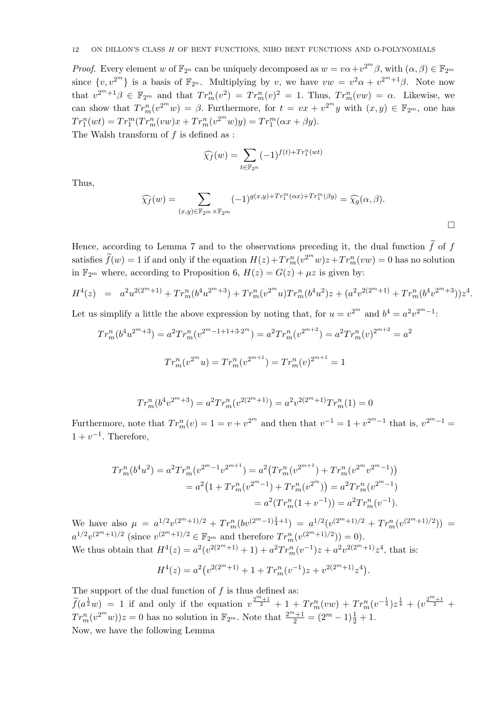*Proof.* Every element w of  $\mathbb{F}_{2^n}$  can be uniquely decomposed as  $w = v\alpha + v^{2^m}\beta$ , with  $(\alpha, \beta) \in \mathbb{F}_{2^m}$ since  $\{v, v^{2^m}\}\$ is a basis of  $\mathbb{F}_{2^n}$ . Multiplying by v, we have  $vw = v^2\alpha + v^{2^m+1}\beta$ . Note now that  $v^{2^m+1}\beta \in \mathbb{F}_{2^m}$  and that  $Tr_m^n(v^2) = Tr_m^n(v)^2 = 1$ . Thus,  $Tr_m^n(vw) = \alpha$ . Likewise, we can show that  $Tr_m^n(v^{2^m}w) = \beta$ . Furthermore, for  $t = vx + v^{2^m}y$  with  $(x, y) \in \mathbb{F}_{2^m}$ , one has  $Tr_1^n(wt) = Tr_1^m(Tr_m^n(vw)x + Tr_m^n(v^{2^m}w)y) = Tr_1^m(\alpha x + \beta y).$ The Walsh transform of f is defined as :

$$
\widehat{\chi_f}(w) = \sum_{t \in \mathbb{F}_{2^n}} (-1)^{f(t) + Tr_1^n(wt)}
$$

Thus,

$$
\widehat{\chi_f}(w) = \sum_{(x,y)\in \mathbb{F}_{2^m}\times \mathbb{F}_{2^m}} (-1)^{g(x,y)+Tr_1^m(\alpha x)+Tr_1^m(\beta y)} = \widehat{\chi_g}(\alpha, \beta).
$$

 $\Box$ 

Hence, according to Lemma 7 and to the observations preceding it, the dual function  $\tilde{f}$  of f satisfies  $\tilde{f}(w) = 1$  if and only if the equation  $H(z) + Tr_m^n(v^2 w)z + Tr_m^n(vw) = 0$  has no solution in  $\mathbb{F}_{2^m}$  where, according to Proposition 6,  $H(z) = G(z) + \mu z$  is given by:

$$
H^{4}(z) = a^{2}u^{2(2^{m}+1)} + Tr_{m}^{n}(b^{4}u^{2^{m}+3}) + Tr_{m}^{n}(v^{2^{m}}u)Tr_{m}^{n}(b^{4}u^{2})z + (a^{2}v^{2(2^{m}+1)} + Tr_{m}^{n}(b^{4}v^{2^{m}+3}))z^{4}.
$$

Let us simplify a little the above expression by noting that, for  $u = v^{2^m}$  and  $b^4 = a^2v^{2^m-1}$ .

$$
Tr_m^n(b^4u^{2^m+3}) = a^2Tr_m^n(v^{2^m-1+1+3\cdot 2^m}) = a^2Tr_m^n(v^{2^{m+2}}) = a^2Tr_m^n(v)^{2^{m+2}} = a^2
$$
  

$$
Tr_m^n(v^{2^m}u) = Tr_m^n(v^{2^{m+1}}) = Tr_m^n(v)^{2^{m+1}} = 1
$$

$$
Tr_m^n(b^4v^{2^m+3}) = a^2Tr_m^n(v^{2(2^m+1)}) = a^2v^{2(2^m+1)}Tr_m^n(1) = 0
$$

Furthermore, note that  $Tr_m^n(v) = 1 = v + v^{2^m}$  and then that  $v^{-1} = 1 + v^{2^m-1}$  that is,  $v^{2^m-1} =$  $1 + v^{-1}$ . Therefore,

$$
Tr_m^n(b^4u^2) = a^2Tr_m^n(v^{2^m-1}v^{2^{m+1}}) = a^2(Tr_m^n(v^{2^m+1}) + Tr_m^n(v^{2^m}v^{2^m-1}))
$$
  
=  $a^2(1 + Tr_m^n(v^{2^m-1}) + Tr_m^n(v^{2^m})) = a^2Tr_m^n(v^{2^m-1})$   
=  $a^2(Tr_m^n(1 + v^{-1})) = a^2Tr_m^n(v^{-1}).$ 

We have also  $\mu = a^{1/2}v^{(2^m+1)/2} + Tr_m^n (bv^{(2^m-1)\frac{1}{4}+1}) = a^{1/2}(v^{(2^m+1)/2} + Tr_m^n (v^{(2^m+1)/2})) =$  $a^{1/2}v^{(2^m+1)/2}$  (since  $v^{(2^m+1)/2} \in \mathbb{F}_{2^m}$  and therefore  $Tr_m^n(v^{(2^m+1)/2})) = 0$ ). We thus obtain that  $H^4(z) = a^2(v^{2(2^m+1)} + 1) + a^2 Tr_m^n(v^{-1})z + a^2 v^{2(2^m+1)} z^4$ , that is:

$$
H4(z) = a2 (v2(2m+1) + 1 + Trmn (v-1)z + v2(2m+1) z4).
$$

The support of the dual function of  $f$  is thus defined as:  $\widetilde{f}(a^{\frac{1}{2}}w) = 1$  if and only if the equation  $v^{\frac{2^m+1}{2}} + 1 + Tr_m^n(vw) + Tr_m^n(v^{-\frac{1}{4}})z^{\frac{1}{4}} + (v^{\frac{2^m+1}{2}} +$  $Tr_{m}^{n}(v^{2^{m}}w))z = 0$  has no solution in  $\mathbb{F}_{2^{m}}$ . Note that  $\frac{2^{m}+1}{2} = (2^{m}-1)\frac{1}{2} + 1$ . Now, we have the following Lemma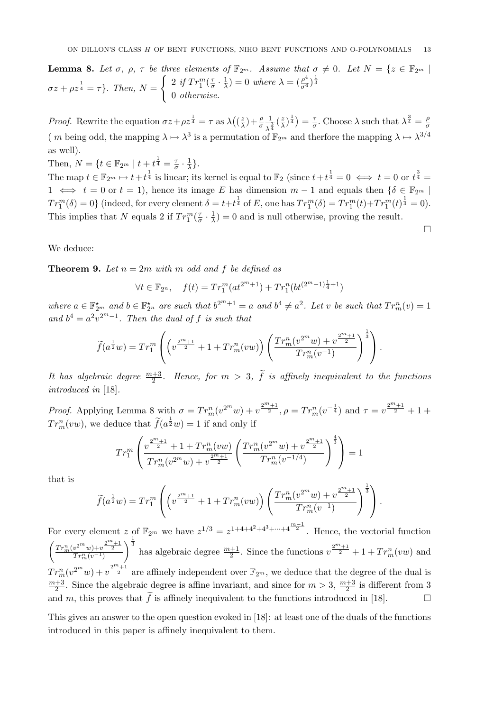**Lemma 8.** Let  $\sigma$ ,  $\rho$ ,  $\tau$  be three elements of  $\mathbb{F}_{2^m}$ . Assume that  $\sigma \neq 0$ . Let  $N = \{z \in \mathbb{F}_{2^m} \mid z \in \mathbb{F}_{2^m} \mid z \in \mathbb{F}_{2^m} \mid z \in \mathbb{F}_{2^m} \mid z \in \mathbb{F}_{2^m} \mid z \in \mathbb{F}_{2^m} \mid z \in \mathbb{F}_{2^m} \mid z \in \mathbb{F}_{2^m} \mid z \$  $\sigma z + \rho z^{\frac{1}{4}} = \tau$ . Then,  $N =$  $\int 2 \, if \, Tr_1^m(\frac{\tau}{\sigma})$  $\frac{\tau}{\sigma} \cdot \frac{1}{\lambda}$  $\frac{1}{\lambda}$ ) = 0 where  $\lambda = (\frac{\rho^4}{\sigma^4})^{\frac{1}{3}}$ 0 otherwise.

*Proof.* Rewrite the equation  $\sigma z + \rho z^{\frac{1}{4}} = \tau$  as  $\lambda((\frac{z}{\lambda}))$  $(\frac{z}{\lambda})+\frac{\rho}{\sigma}$ 1  $rac{1}{\lambda^{\frac{3}{4}}}$  $(\frac{z}{\lambda})$  $(\frac{z}{\lambda})^{\frac{1}{4}}$  =  $\frac{\tau}{\sigma}$  $\frac{\tau}{\sigma}$ . Choose  $\lambda$  such that  $\lambda^{\frac{3}{4}} = \frac{\rho}{\sigma}$ σ (*m* being odd, the mapping  $\lambda \mapsto \lambda^3$  is a permutation of  $\mathbb{F}_{2^m}$  and therfore the mapping  $\lambda \mapsto \lambda^{3/4}$ as well).

Then,  $N = \{t \in \mathbb{F}_{2^m} \mid t + t^{\frac{1}{4}} = \frac{7}{6} \}$  $\frac{\tau}{\sigma} \cdot \frac{1}{\lambda}$  $\frac{1}{\lambda}$ .

The map  $t \in \mathbb{F}_{2^m} \mapsto t+t^{\frac{1}{4}}$  is linear; its kernel is equal to  $\mathbb{F}_2$  (since  $t+t^{\frac{1}{4}}=0 \iff t=0$  or  $t^{\frac{3}{4}}=$ 1  $\iff$  t = 0 or t = 1), hence its image E has dimension  $m-1$  and equals then { $\delta \in \mathbb{F}_{2^m}$  |  $Tr_1^m(\delta) = 0$  (indeed, for every element  $\delta = t + t^{\frac{1}{4}}$  of E, one has  $Tr_1^m(\delta) = Tr_1^m(t) + Tr_1^m(t)^{\frac{1}{4}} = 0$ ). This implies that N equals 2 if  $Tr_1^m(\frac{\tau}{\sigma})$  $\frac{\tau}{\sigma} \cdot \frac{1}{\lambda}$  $\frac{1}{\lambda}$ ) = 0 and is null otherwise, proving the result.

 $\Box$ 

We deduce:

**Theorem 9.** Let  $n = 2m$  with m odd and f be defined as

$$
\forall t \in \mathbb{F}_{2^n}, \quad f(t) = Tr_1^m(at^{2^m+1}) + Tr_1^n(bt^{(2^m-1)\frac{1}{4}+1})
$$

where  $a \in \mathbb{F}_{2^m}^{\star}$  and  $b \in \mathbb{F}_{2^n}^{\star}$  are such that  $b^{2^m+1} = a$  and  $b^4 \neq a^2$ . Let v be such that  $Tr_m^n(v) = 1$ and  $b^4 = a^2v^{2^m-1}$ . Then the dual of f is such that

$$
\widetilde{f}(a^{\frac{1}{2}}w) = Tr_1^m \left( \left( v^{\frac{2^m+1}{2}} + 1 + Tr_m^n(vw) \right) \left( \frac{Tr_m^n(v^{2^m}w) + v^{\frac{2^m+1}{2}}}{Tr_m^n(v^{-1})} \right)^{\frac{1}{3}} \right).
$$

It has algebraic degree  $\frac{m+3}{2}$ . Hence, for  $m > 3$ ,  $\tilde{f}$  is affinely inequivalent to the functions introduced in [18].

*Proof.* Applying Lemma 8 with  $\sigma = Tr_m^n(v^{2^m}w) + v^{\frac{2^m+1}{2}}, \rho = Tr_m^n(v^{-\frac{1}{4}})$  and  $\tau = v^{\frac{2^m+1}{2}} + 1 + \sigma$  $Tr_m^n(vw)$ , we deduce that  $\widetilde{f}(a^{\frac{1}{2}}w) = 1$  if and only if

$$
Tr_1^m \left( \frac{v^{\frac{2^m+1}{2}} + 1 + Tr_m^n(vw)}{Tr_m^n(v^{2^m}w) + v^{\frac{2^m+1}{2}}} \left( \frac{Tr_m^n(v^{2^m}w) + v^{\frac{2^m+1}{2}}}{Tr_m^n(v^{-1/4})} \right)^{\frac{4}{3}} \right) = 1
$$

that is

$$
\widetilde{f}(a^{\frac{1}{2}}w) = Tr_1^m \left( \left( v^{\frac{2^m+1}{2}} + 1 + Tr_m^n(vw) \right) \left( \frac{Tr_m^n(v^{2^m}w) + v^{\frac{2^m+1}{2}}}{Tr_m^n(v^{-1})} \right)^{\frac{1}{3}} \right).
$$

For every element z of  $\mathbb{F}_{2^m}$  we have  $z^{1/3} = z^{1+4+4^2+4^3+\cdots+4^{\frac{m-1}{2}}}$ . Hence, the vectorial function  $\Bigg( \frac{Tr_m^n(v^{2^m}w)+v^{\frac{2^m+1}{2}}}{Tr_m^n(v^{-1})}$  $\int_{0}^{\frac{1}{3}}$  has algebraic degree  $\frac{m+1}{2}$ . Since the functions  $v^{\frac{2^m+1}{2}} + 1 + Tr_m^n(vw)$  and  $Tr_m^n(v^{2^m}w)+v^{\frac{2^m+1}{2}}$  are affinely independent over  $\mathbb{F}_{2^m}$ , we deduce that the degree of the dual is  $m+3$  $\frac{+3}{2}$ . Since the algebraic degree is affine invariant, and since for  $m > 3$ ,  $\frac{m+3}{2}$  is different from 3 and m, this proves that  $\tilde{f}$  is affinely inequivalent to the functions introduced in [18].

This gives an answer to the open question evoked in [18]: at least one of the duals of the functions introduced in this paper is affinely inequivalent to them.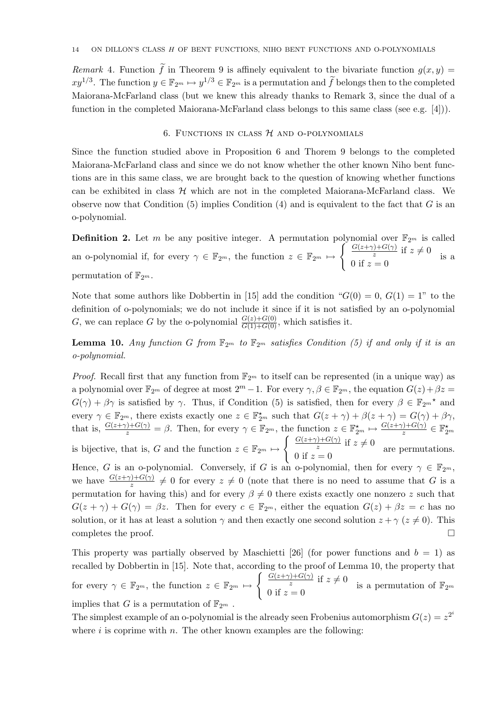Remark 4. Function  $\tilde{f}$  in Theorem 9 is affinely equivalent to the bivariate function  $g(x, y)$  $xy^{1/3}$ . The function  $y \in \mathbb{F}_{2^m} \mapsto y^{1/3} \in \mathbb{F}_{2^m}$  is a permutation and  $\tilde{f}$  belongs then to the completed Maiorana-McFarland class (but we knew this already thanks to Remark 3, since the dual of a function in the completed Maiorana-McFarland class belongs to this same class (see e.g. [4])).

# 6. FUNCTIONS IN CLASS  $H$  and o-polynomials

Since the function studied above in Proposition 6 and Thorem 9 belongs to the completed Maiorana-McFarland class and since we do not know whether the other known Niho bent functions are in this same class, we are brought back to the question of knowing whether functions can be exhibited in class  $H$  which are not in the completed Maiorana-McFarland class. We observe now that Condition  $(5)$  implies Condition  $(4)$  and is equivalent to the fact that G is an o-polynomial.

**Definition 2.** Let m be any positive integer. A permutation polynomial over  $\mathbb{F}_{2^m}$  is called an o-polynomial if, for every  $\gamma \in \mathbb{F}_{2^m}$ , the function  $z \in \mathbb{F}_{2^m} \mapsto$  $\int \frac{G(z+\gamma)+G(\gamma)}{z} \text{ if } z \neq 0$ 0 if  $z = 0$ is a permutation of  $\mathbb{F}_{2^m}$ .

Note that some authors like Dobbertin in [15] add the condition " $G(0) = 0$ ,  $G(1) = 1$ " to the definition of o-polynomials; we do not include it since if it is not satisfied by an o-polynomial G, we can replace G by the o-polynomial  $\frac{G(z)+G(0)}{G(1)+G(0)}$ , which satisfies it.

**Lemma 10.** Any function G from  $\mathbb{F}_{2^m}$  to  $\mathbb{F}_{2^m}$  satisfies Condition (5) if and only if it is an o-polynomial.

*Proof.* Recall first that any function from  $\mathbb{F}_{2^m}$  to itself can be represented (in a unique way) as a polynomial over  $\mathbb{F}_{2^m}$  of degree at most  $2^m - 1$ . For every  $\gamma, \beta \in \mathbb{F}_{2^m}$ , the equation  $G(z) + \beta z =$  $G(\gamma) + \beta \gamma$  is satisfied by  $\gamma$ . Thus, if Condition (5) is satisfied, then for every  $\beta \in \mathbb{F}_{2^m}^{\star}$  and every  $\gamma \in \mathbb{F}_{2^m}$ , there exists exactly one  $z \in \mathbb{F}_{2^m}^{\star}$  such that  $G(z + \gamma) + \beta(z + \gamma) = G(\gamma) + \beta\gamma$ , that is,  $\frac{G(z+\gamma)+G(\gamma)}{z} = \beta$ . Then, for every  $\gamma \in \mathbb{F}_{2^m}$ , the function  $z \in \mathbb{F}_{2^m}^{\star} \mapsto \frac{G(z+\gamma)+G(\gamma)}{z} \in \mathbb{F}_{2^m}^{\star}$ is bijective, that is, G and the function  $z \in \mathbb{F}_{2^m} \mapsto$  $\int \frac{G(z+\gamma)+G(\gamma)}{z} \text{ if } z \neq 0$ 0 if  $z = 0$ are permutations. Hence, G is an o-polynomial. Conversely, if G is an o-polynomial, then for every  $\gamma \in \mathbb{F}_{2^m}$ , we have  $\frac{G(z+\gamma)+G(\gamma)}{z}\neq 0$  for every  $z\neq 0$  (note that there is no need to assume that G is a permutation for having this) and for every  $\beta \neq 0$  there exists exactly one nonzero z such that  $G(z + \gamma) + G(\gamma) = \beta z$ . Then for every  $c \in \mathbb{F}_{2^m}$ , either the equation  $G(z) + \beta z = c$  has no

solution, or it has at least a solution  $\gamma$  and then exactly one second solution  $z + \gamma (z \neq 0)$ . This completes the proof.  $\Box$ 

This property was partially observed by Maschietti [26] (for power functions and  $b = 1$ ) as recalled by Dobbertin in [15]. Note that, according to the proof of Lemma 10, the property that for every  $\gamma \in \mathbb{F}_{2^m}$ , the function  $z \in \mathbb{F}_{2^m} \mapsto$  $\int \frac{G(z+\gamma)+G(\gamma)}{z} \text{ if } z\neq 0$  $\frac{z}{0 \text{ if } z = 0}$  is a permutation of  $\mathbb{F}_{2^m}$ implies that G is a permutation of  $\mathbb{F}_{2^m}$ .

The simplest example of an o-polynomial is the already seen Frobenius automorphism  $G(z) = z^{2^i}$ where i is coprime with n. The other known examples are the following: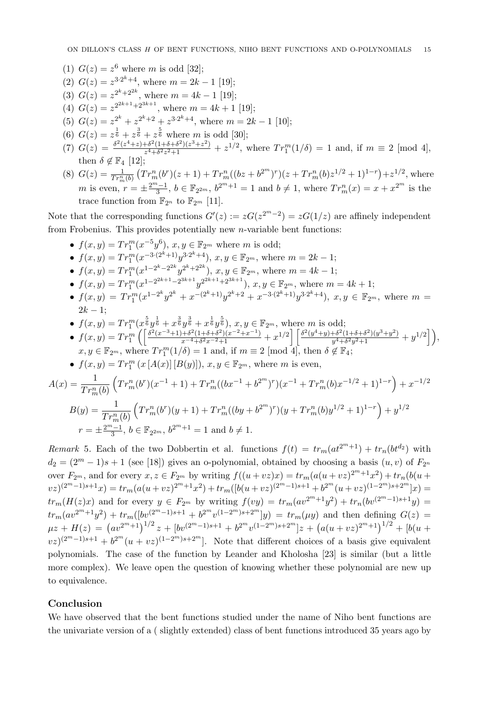- (1)  $G(z) = z^6$  where *m* is odd [32];
- (2)  $G(z) = z^{3 \cdot 2^{k} + 4}$ , where  $m = 2k 1$  [19];
- (3)  $G(z) = z^{2^k+2^{2k}}$ , where  $m = 4k 1$  [19];
- (4)  $G(z) = z^{2^{2k+1}+2^{3k+1}}$ , where  $m = 4k+1$  [19];
- (5)  $G(z) = z^{2^k} + z^{2^k+2} + z^{3 \cdot 2^k+4}$ , where  $m = 2k 1$  [10];
- (6)  $G(z) = z^{\frac{1}{6}} + z^{\frac{3}{6}} + z^{\frac{5}{6}}$  where *m* is odd [30];
- (7)  $G(z) = \frac{\delta^2 (z^4 + z) + \delta^2 (1 + \delta + \delta^2)(z^3 + z^2)}{z^4 + \delta^2 z^2 + 1}$  $\frac{1+\delta^2(1+\delta+\delta^2)(z^3+z^2)}{z^4+\delta^2z^2+1}+z^{1/2}$ , where  $Tr_1^m(1/\delta)=1$  and, if  $m\equiv 2$  [mod 4], then  $\delta \notin \mathbb{F}_4$  [12];
- (8)  $G(z) = \frac{1}{Tr_m^n(b)} \left( Tr_m^n(b^r)(z+1) + Tr_m^n((bz+b^{2^m})^r)(z+Tr_m^n(b)z^{1/2}+1)^{1-r} \right) + z^{1/2}$ , where m is even,  $r = \pm \frac{2^m - 1}{3}$  $\frac{1}{3}^{n}-1$ ,  $b \in \mathbb{F}_{2^{2m}}$ ,  $b^{2^m+1} = 1$  and  $b \neq 1$ , where  $Tr_m^n(x) = x + x^{2^m}$  is the trace function from  $\mathbb{F}_{2^n}$  to  $\mathbb{F}_{2^m}$  [11].

Note that the corresponding functions  $G'(z) := zG(z^{2^m-2}) = zG(1/z)$  are affinely independent from Frobenius. This provides potentially new  $n$ -variable bent functions:

- $f(x, y) = Tr_1^m(x^{-5}y^6), x, y \in \mathbb{F}_{2^m}$  where *m* is odd;
- $f(x,y) = Tr_1^m(x^{-3\cdot(2^k+1)}y^{3\cdot2^k+4}), x, y \in \mathbb{F}_{2^m}$ , where  $m = 2k 1$ ;
- $f(x,y) = Tr_1^m(x^{1-2^k-2^{2^k}}y^{2^k+2^{2^k}}), x, y \in \mathbb{F}_{2^m}$ , where  $m = 4k 1$ ;
- $f(x,y) = Tr_1^m(x^{1-2^{2k+1}-2^{3k+1}}y^{2^{2k+1}+2^{3k+1}}), x, y \in \mathbb{F}_{2^m}$ , where  $m = 4k+1$ ;
- $f(x,y) = Tr_1^m(x^{1-2^k}y^{2^k} + x^{-(2^k+1)}y^{2^k+2} + x^{-3\cdot(2^k+1)}y^{3\cdot2^k+4}), x, y \in \mathbb{F}_{2^m}$ , where  $m =$  $2k - 1$ :
- $f(x,y) = Tr_1^m (x^{\frac{5}{6}}y^{\frac{1}{6}} + x^{\frac{3}{6}}y^{\frac{3}{6}} + x^{\frac{1}{6}}y^{\frac{5}{6}}), x, y \in \mathbb{F}_{2^m}$ , where *m* is odd;
- $f(x,y) = Tr_1^m \left( \left[ \frac{\delta^2 (x^{-3}+1) + \delta^2 (1+\delta+\delta^2)(x^{-2}+x^{-1})}{x^{-4} + \delta^2 x^{-2} + 1} \right]$  $\left[\frac{x^{2}(1+\delta+\delta^{2})(x^{-2}+x^{-1})}{x^{-4}+\delta^{2}x^{-2}+1}+x^{1/2}\right]$  $\left[\frac{\delta^{2}(y^{4}+y)+\delta^{2}(1+\delta+\delta^{2})(y^{3}+y^{2})}{y^{4}+\delta^{2}y^{2}+1}\right]$  $\frac{+\delta^2(1+\delta+\delta^2)(y^3+y^2)}{y^4+\delta^2y^2+1}+y^{1/2}\Big]\Big),$  $x, y \in \mathbb{F}_{2^m}$ , where  $Tr_1^m(1/\delta) = 1$  and, if  $m \equiv 2 \pmod{4}$ , then  $\delta \notin \mathbb{F}_4$ ;

• 
$$
f(x, y) = Tr_1^m (x [A(x)] [B(y)]), x, y \in \mathbb{F}_{2^m}
$$
, where *m* is even,

$$
A(x) = \frac{1}{Tr_m^n(b)} \left( Tr_m^n(b^r)(x^{-1} + 1) + Tr_m^n((bx^{-1} + b^{2^m})^r)(x^{-1} + Tr_m^n(b)x^{-1/2} + 1)^{1-r} \right) + x^{-1/2}
$$
  
\n
$$
B(y) = \frac{1}{Tr_m^n(b)} \left( Tr_m^n(b^r)(y + 1) + Tr_m^n((by + b^{2^m})^r)(y + Tr_m^n(b)y^{1/2} + 1)^{1-r} \right) + y^{1/2}
$$
  
\n
$$
r = \pm \frac{2^{m-1}}{3}, \, b \in \mathbb{F}_{2^{2m}}, \, b^{2^m+1} = 1 \text{ and } b \neq 1.
$$

Remark 5. Each of the two Dobbertin et al. functions  $f(t) = tr_m(at^{2^m+1}) + tr_n(bt^{d_2})$  with  $d_2 = (2^m - 1)s + 1$  (see [18]) gives an o-polynomial, obtained by choosing a basis  $(u, v)$  of  $F_{2^n}$ over  $F_{2^m}$ , and for every  $x, z \in F_{2^m}$  by writing  $f((u + vz)x) = tr_m(a(u + vz)^{2^m+1}x^2) + tr_n(b(u + u))$  $v(z)^{(2^m-1)s+1}x) = tr_m(a(u+vx)^{2^m+1}x^2) + tr_m([b(u+vx)^{(2^m-1)s+1} + b^{2^m}(u+vx)^{(1-2^m)s+2^m}]x) =$  $tr_m(H(z)x)$  and for every  $y \in F_{2^m}$  by writing  $f(vy) = tr_m(av^{2^m+1}y^2) + tr_n(bv^{(2^m-1)s+1}y)$  $tr_m(av^{2^m+1}y^2) + tr_m([bv^{(2^m-1)s+1} + b^{2^m}v^{(1-2^m)s+2^m}]y) = tr_m(\mu y)$  and then defining  $G(z)$  $\mu z + H(z) = (av^{2m+1})^{1/2} z + [bv^{(2m-1)s+1} + b^{2m}v^{(1-2m)s+2m}]z + (a(u+vz)^{2m+1})^{1/2} + [b(u+1)v^{(2m-1)s+2m}]z + (a(u+1)v^{2m})^{1/2}$  $(vz)^{(2^m-1)s+1}+b^{2^m}(u+vz)^{(1-2^m)s+2^m}$ . Note that different choices of a basis give equivalent polynomials. The case of the function by Leander and Kholosha [23] is similar (but a little more complex). We leave open the question of knowing whether these polynomial are new up to equivalence.

# Conclusion

We have observed that the bent functions studied under the name of Niho bent functions are the univariate version of a ( slightly extended) class of bent functions introduced 35 years ago by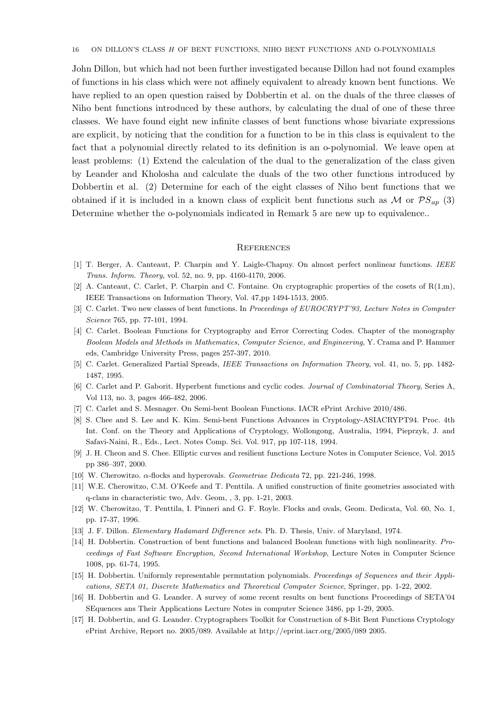John Dillon, but which had not been further investigated because Dillon had not found examples of functions in his class which were not affinely equivalent to already known bent functions. We have replied to an open question raised by Dobbertin et al. on the duals of the three classes of Niho bent functions introduced by these authors, by calculating the dual of one of these three classes. We have found eight new infinite classes of bent functions whose bivariate expressions are explicit, by noticing that the condition for a function to be in this class is equivalent to the fact that a polynomial directly related to its definition is an o-polynomial. We leave open at least problems: (1) Extend the calculation of the dual to the generalization of the class given by Leander and Kholosha and calculate the duals of the two other functions introduced by Dobbertin et al. (2) Determine for each of the eight classes of Niho bent functions that we obtained if it is included in a known class of explicit bent functions such as M or  $\mathcal{PS}_{an}$  (3) Determine whether the o-polynomials indicated in Remark 5 are new up to equivalence..

#### **REFERENCES**

- [1] T. Berger, A. Canteaut, P. Charpin and Y. Laigle-Chapuy. On almost perfect nonlinear functions. IEEE Trans. Inform. Theory, vol. 52, no. 9, pp. 4160-4170, 2006.
- [2] A. Canteaut, C. Carlet, P. Charpin and C. Fontaine. On cryptographic properties of the cosets of  $R(1,m)$ , IEEE Transactions on Information Theory, Vol. 47,pp 1494-1513, 2005.
- [3] C. Carlet. Two new classes of bent functions. In Proceedings of EUROCRYPT'93, Lecture Notes in Computer Science 765, pp. 77-101, 1994.
- [4] C. Carlet. Boolean Functions for Cryptography and Error Correcting Codes. Chapter of the monography Boolean Models and Methods in Mathematics, Computer Science, and Engineering, Y. Crama and P. Hammer eds, Cambridge University Press, pages 257-397, 2010.
- [5] C. Carlet. Generalized Partial Spreads, IEEE Transactions on Information Theory, vol. 41, no. 5, pp. 1482- 1487, 1995.
- [6] C. Carlet and P. Gaborit. Hyperbent functions and cyclic codes. Journal of Combinatorial Theory, Series A, Vol 113, no. 3, pages 466-482, 2006.
- [7] C. Carlet and S. Mesnager. On Semi-bent Boolean Functions. IACR ePrint Archive 2010/486.
- [8] S. Chee and S. Lee and K. Kim. Semi-bent Functions Advances in Cryptology-ASIACRYPT94. Proc. 4th Int. Conf. on the Theory and Applications of Cryptology, Wollongong, Australia, 1994, Pieprzyk, J. and Safavi-Naini, R., Eds., Lect. Notes Comp. Sci. Vol. 917, pp 107-118, 1994.
- [9] J. H. Cheon and S. Chee. Elliptic curves and resilient functions Lecture Notes in Computer Science, Vol. 2015 pp 386–397, 2000.
- [10] W. Cherowitzo.  $\alpha$ -flocks and hyperovals. Geometriae Dedicata 72, pp. 221-246, 1998.
- [11] W.E. Cherowitzo, C.M. O'Keefe and T. Penttila. A unified construction of finite geometries associated with q-clans in characteristic two, Adv. Geom, , 3, pp. 1-21, 2003.
- [12] W. Cherowitzo, T. Penttila, I. Pinneri and G. F. Royle. Flocks and ovals, Geom. Dedicata, Vol. 60, No. 1, pp. 17-37, 1996.
- [13] J. F. Dillon. Elementary Hadamard Difference sets. Ph. D. Thesis, Univ. of Maryland, 1974.
- [14] H. Dobbertin. Construction of bent functions and balanced Boolean functions with high nonlinearity. Proceedings of Fast Software Encryption, Second International Workshop, Lecture Notes in Computer Science 1008, pp. 61-74, 1995.
- [15] H. Dobbertin. Uniformly representable permutation polynomials. Proceedings of Sequences and their Applications, SETA 01, Discrete Mathematics and Theoretical Computer Science, Springer, pp. 1-22, 2002.
- [16] H. Dobbertin and G. Leander. A survey of some recent results on bent functions Proceedings of SETA'04 SEquences ans Their Applications Lecture Notes in computer Science 3486, pp 1-29, 2005.
- [17] H. Dobbertin, and G. Leander. Cryptographers Toolkit for Construction of 8-Bit Bent Functions Cryptology ePrint Archive, Report no. 2005/089. Available at http://eprint.iacr.org/2005/089 2005.